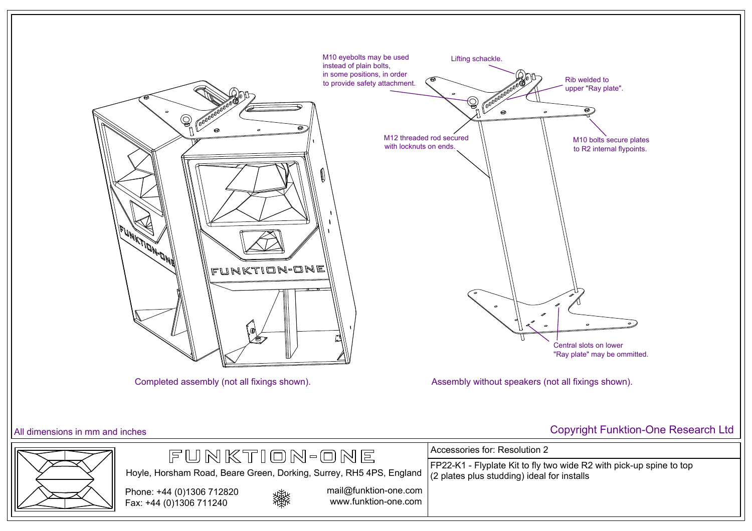

Accessories for: Resolution 2

(2 plates plus studding) ideal for installs

FP22-K1 - Flyplate Kit to fly two wide R2 with pick-up spine to top



mail@funktion-one.com www.funktion-one.com

Hoyle, Horsham Road, Beare Green, Dorking, Surrey, RH5 4PS, England

FUNKTION-ONE

All dimensions in mm and inches Copyright Funktion-One Research Ltd